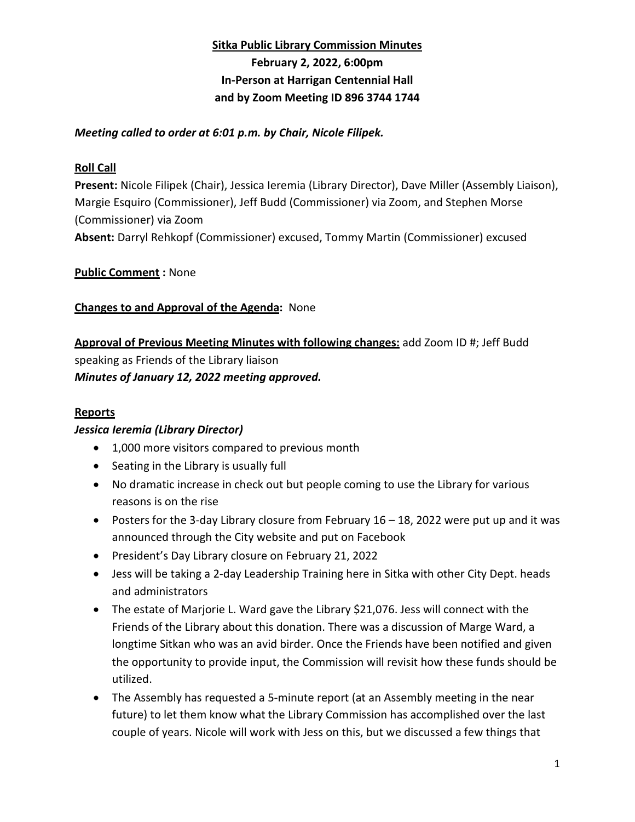### **Sitka Public Library Commission Minutes**

# **February 2, 2022, 6:00pm In-Person at Harrigan Centennial Hall and by Zoom Meeting ID 896 3744 1744**

### *Meeting called to order at 6:01 p.m. by Chair, Nicole Filipek.*

## **Roll Call**

**Present:** Nicole Filipek (Chair), Jessica Ieremia (Library Director), Dave Miller (Assembly Liaison), Margie Esquiro (Commissioner), Jeff Budd (Commissioner) via Zoom, and Stephen Morse (Commissioner) via Zoom

**Absent:** Darryl Rehkopf (Commissioner) excused, Tommy Martin (Commissioner) excused

## **Public Comment :** None

## **Changes to and Approval of the Agenda:** None

**Approval of Previous Meeting Minutes with following changes:** add Zoom ID #; Jeff Budd speaking as Friends of the Library liaison *Minutes of January 12, 2022 meeting approved.*

### **Reports**

### *Jessica Ieremia (Library Director)*

- 1,000 more visitors compared to previous month
- Seating in the Library is usually full
- No dramatic increase in check out but people coming to use the Library for various reasons is on the rise
- Posters for the 3-day Library closure from February  $16 18$ , 2022 were put up and it was announced through the City website and put on Facebook
- President's Day Library closure on February 21, 2022
- Jess will be taking a 2-day Leadership Training here in Sitka with other City Dept. heads and administrators
- The estate of Marjorie L. Ward gave the Library \$21,076. Jess will connect with the Friends of the Library about this donation. There was a discussion of Marge Ward, a longtime Sitkan who was an avid birder. Once the Friends have been notified and given the opportunity to provide input, the Commission will revisit how these funds should be utilized.
- The Assembly has requested a 5-minute report (at an Assembly meeting in the near future) to let them know what the Library Commission has accomplished over the last couple of years. Nicole will work with Jess on this, but we discussed a few things that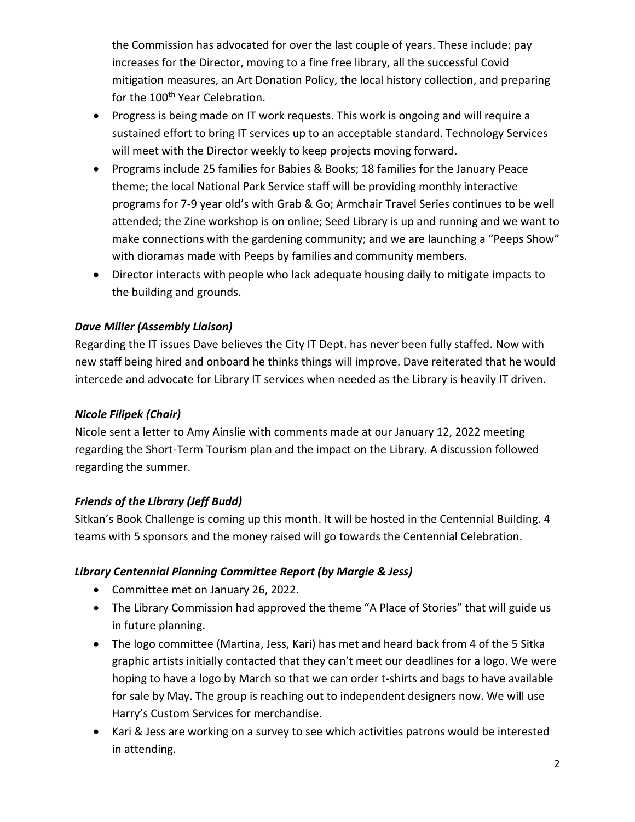the Commission has advocated for over the last couple of years. These include: pay increases for the Director, moving to a fine free library, all the successful Covid mitigation measures, an Art Donation Policy, the local history collection, and preparing for the 100<sup>th</sup> Year Celebration.

- Progress is being made on IT work requests. This work is ongoing and will require a sustained effort to bring IT services up to an acceptable standard. Technology Services will meet with the Director weekly to keep projects moving forward.
- Programs include 25 families for Babies & Books; 18 families for the January Peace theme; the local National Park Service staff will be providing monthly interactive programs for 7-9 year old's with Grab & Go; Armchair Travel Series continues to be well attended; the Zine workshop is on online; Seed Library is up and running and we want to make connections with the gardening community; and we are launching a "Peeps Show" with dioramas made with Peeps by families and community members.
- Director interacts with people who lack adequate housing daily to mitigate impacts to the building and grounds.

## *Dave Miller (Assembly Liaison)*

Regarding the IT issues Dave believes the City IT Dept. has never been fully staffed. Now with new staff being hired and onboard he thinks things will improve. Dave reiterated that he would intercede and advocate for Library IT services when needed as the Library is heavily IT driven.

### *Nicole Filipek (Chair)*

Nicole sent a letter to Amy Ainslie with comments made at our January 12, 2022 meeting regarding the Short-Term Tourism plan and the impact on the Library. A discussion followed regarding the summer.

# *Friends of the Library (Jeff Budd)*

Sitkan's Book Challenge is coming up this month. It will be hosted in the Centennial Building. 4 teams with 5 sponsors and the money raised will go towards the Centennial Celebration.

### *Library Centennial Planning Committee Report (by Margie & Jess)*

- Committee met on January 26, 2022.
- The Library Commission had approved the theme "A Place of Stories" that will guide us in future planning.
- The logo committee (Martina, Jess, Kari) has met and heard back from 4 of the 5 Sitka graphic artists initially contacted that they can't meet our deadlines for a logo. We were hoping to have a logo by March so that we can order t-shirts and bags to have available for sale by May. The group is reaching out to independent designers now. We will use Harry's Custom Services for merchandise.
- Kari & Jess are working on a survey to see which activities patrons would be interested in attending.